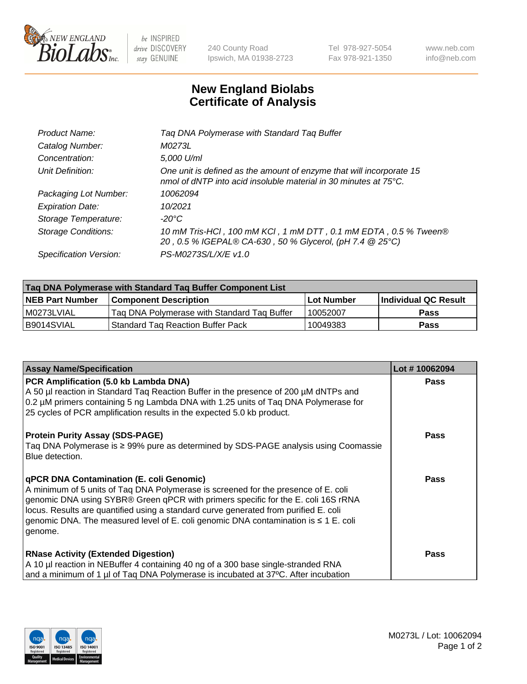

 $be$  INSPIRED drive DISCOVERY stay GENUINE

240 County Road Ipswich, MA 01938-2723 Tel 978-927-5054 Fax 978-921-1350 www.neb.com info@neb.com

## **New England Biolabs Certificate of Analysis**

| Tag DNA Polymerase with Standard Tag Buffer                                                                                                        |
|----------------------------------------------------------------------------------------------------------------------------------------------------|
| M0273L                                                                                                                                             |
| 5,000 U/ml                                                                                                                                         |
| One unit is defined as the amount of enzyme that will incorporate 15<br>nmol of dNTP into acid insoluble material in 30 minutes at $75^{\circ}$ C. |
| 10062094                                                                                                                                           |
| 10/2021                                                                                                                                            |
| $-20^{\circ}$ C                                                                                                                                    |
| 10 mM Tris-HCI, 100 mM KCI, 1 mM DTT, 0.1 mM EDTA, 0.5 % Tween®<br>20, 0.5 % IGEPAL® CA-630, 50 % Glycerol, (pH 7.4 @ 25°C)                        |
| PS-M0273S/L/X/E v1.0                                                                                                                               |
|                                                                                                                                                    |

| Tag DNA Polymerase with Standard Tag Buffer Component List |                                             |                   |                      |  |  |
|------------------------------------------------------------|---------------------------------------------|-------------------|----------------------|--|--|
| <b>NEB Part Number</b>                                     | Component Description_                      | <b>Lot Number</b> | Individual QC Result |  |  |
| M0273LVIAL                                                 | Tag DNA Polymerase with Standard Tag Buffer | 10052007          | Pass                 |  |  |
| B9014SVIAL                                                 | <b>Standard Tag Reaction Buffer Pack</b>    | 10049383          | <b>Pass</b>          |  |  |

| <b>Assay Name/Specification</b>                                                                                                                                                                                                                                                                                                                                                                                    | Lot #10062094 |
|--------------------------------------------------------------------------------------------------------------------------------------------------------------------------------------------------------------------------------------------------------------------------------------------------------------------------------------------------------------------------------------------------------------------|---------------|
| PCR Amplification (5.0 kb Lambda DNA)<br>A 50 µl reaction in Standard Tag Reaction Buffer in the presence of 200 µM dNTPs and<br>0.2 µM primers containing 5 ng Lambda DNA with 1.25 units of Taq DNA Polymerase for<br>25 cycles of PCR amplification results in the expected 5.0 kb product.                                                                                                                     | <b>Pass</b>   |
| <b>Protein Purity Assay (SDS-PAGE)</b><br>Taq DNA Polymerase is ≥ 99% pure as determined by SDS-PAGE analysis using Coomassie<br>Blue detection.                                                                                                                                                                                                                                                                   | <b>Pass</b>   |
| qPCR DNA Contamination (E. coli Genomic)<br>A minimum of 5 units of Taq DNA Polymerase is screened for the presence of E. coli<br>genomic DNA using SYBR® Green qPCR with primers specific for the E. coli 16S rRNA<br>locus. Results are quantified using a standard curve generated from purified E. coli<br>genomic DNA. The measured level of E. coli genomic DNA contamination is $\leq 1$ E. coli<br>genome. | <b>Pass</b>   |
| <b>RNase Activity (Extended Digestion)</b><br>A 10 µl reaction in NEBuffer 4 containing 40 ng of a 300 base single-stranded RNA<br>and a minimum of 1 µl of Taq DNA Polymerase is incubated at 37°C. After incubation                                                                                                                                                                                              | <b>Pass</b>   |